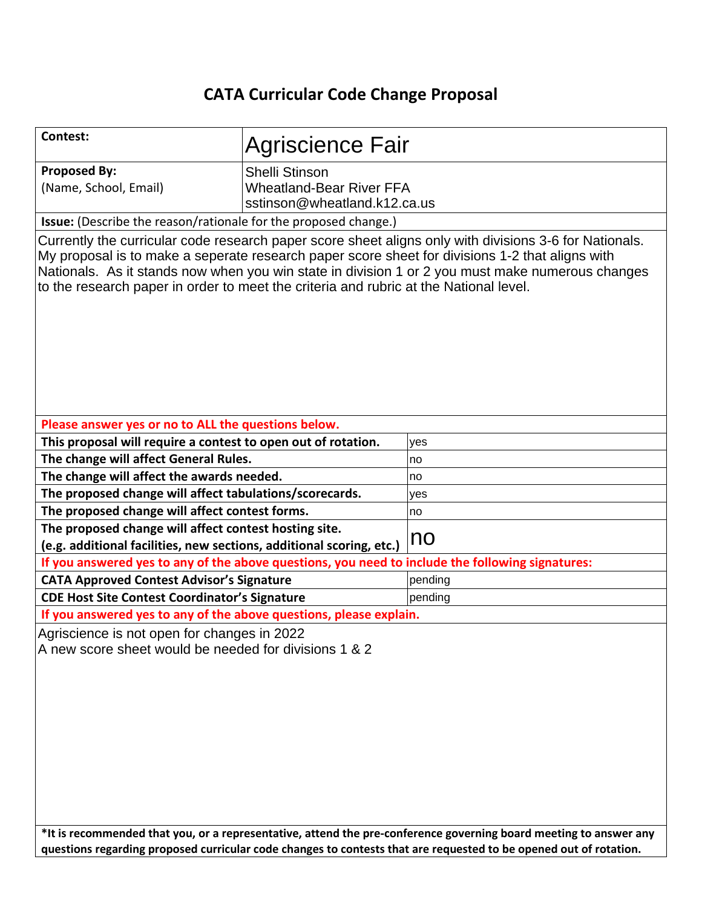# **CATA Curricular Code Change Proposal**

| Contest:                                                                                                                                                                                                                                                                                                                                                                                               | <b>Agriscience Fair</b>                                                    |         |  |  |  |
|--------------------------------------------------------------------------------------------------------------------------------------------------------------------------------------------------------------------------------------------------------------------------------------------------------------------------------------------------------------------------------------------------------|----------------------------------------------------------------------------|---------|--|--|--|
| <b>Proposed By:</b><br>(Name, School, Email)                                                                                                                                                                                                                                                                                                                                                           | Shelli Stinson<br>Wheatland-Bear River FFA<br>sstinson@wheatland.k12.ca.us |         |  |  |  |
| Issue: (Describe the reason/rationale for the proposed change.)                                                                                                                                                                                                                                                                                                                                        |                                                                            |         |  |  |  |
| Currently the curricular code research paper score sheet aligns only with divisions 3-6 for Nationals.<br>My proposal is to make a seperate research paper score sheet for divisions 1-2 that aligns with<br>Nationals. As it stands now when you win state in division 1 or 2 you must make numerous changes<br>to the research paper in order to meet the criteria and rubric at the National level. |                                                                            |         |  |  |  |
| Please answer yes or no to ALL the questions below.                                                                                                                                                                                                                                                                                                                                                    |                                                                            |         |  |  |  |
| This proposal will require a contest to open out of rotation.                                                                                                                                                                                                                                                                                                                                          |                                                                            | yes     |  |  |  |
| The change will affect General Rules.                                                                                                                                                                                                                                                                                                                                                                  |                                                                            | no      |  |  |  |
| The change will affect the awards needed.                                                                                                                                                                                                                                                                                                                                                              |                                                                            | no      |  |  |  |
| The proposed change will affect tabulations/scorecards.                                                                                                                                                                                                                                                                                                                                                |                                                                            | yes     |  |  |  |
| The proposed change will affect contest forms.                                                                                                                                                                                                                                                                                                                                                         |                                                                            | no      |  |  |  |
| The proposed change will affect contest hosting site.                                                                                                                                                                                                                                                                                                                                                  |                                                                            |         |  |  |  |
| (e.g. additional facilities, new sections, additional scoring, etc.)                                                                                                                                                                                                                                                                                                                                   |                                                                            | no      |  |  |  |
| If you answered yes to any of the above questions, you need to include the following signatures:                                                                                                                                                                                                                                                                                                       |                                                                            |         |  |  |  |
| <b>CATA Approved Contest Advisor's Signature</b>                                                                                                                                                                                                                                                                                                                                                       |                                                                            | pending |  |  |  |
| <b>CDE Host Site Contest Coordinator's Signature</b>                                                                                                                                                                                                                                                                                                                                                   |                                                                            | pending |  |  |  |
| If you answered yes to any of the above questions, please explain.                                                                                                                                                                                                                                                                                                                                     |                                                                            |         |  |  |  |
| Agriscience is not open for changes in 2022<br>A new score sheet would be needed for divisions 1 & 2                                                                                                                                                                                                                                                                                                   |                                                                            |         |  |  |  |
| *It is recommended that you, or a representative, attend the pre-conference governing board meeting to answer any<br>questions regarding proposed curricular code changes to contests that are requested to be opened out of rotation.                                                                                                                                                                 |                                                                            |         |  |  |  |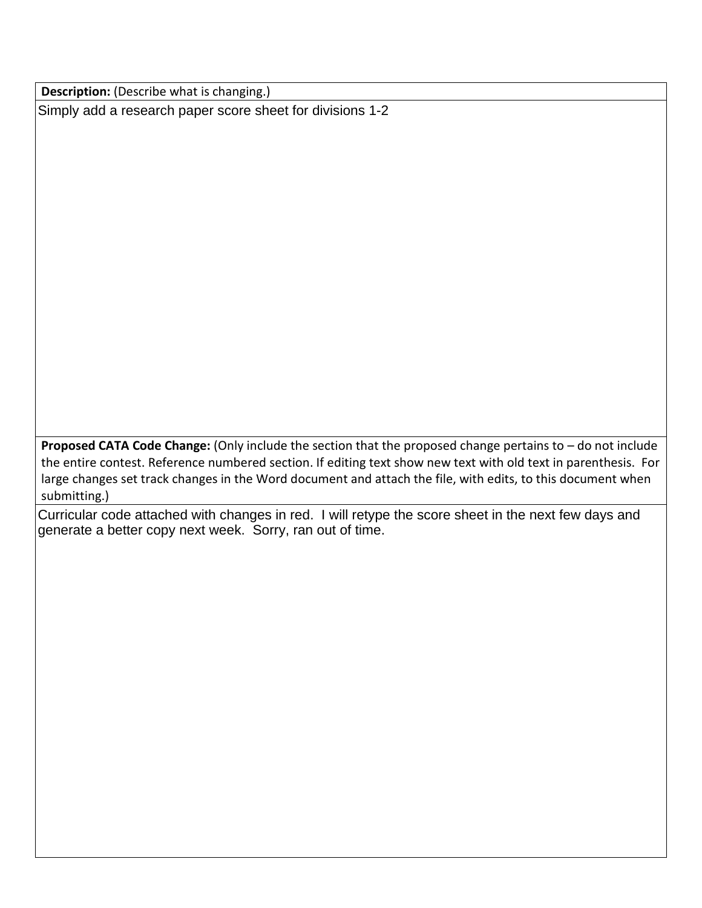**Description:** (Describe what is changing.)

Simply add a research paper score sheet for divisions 1-2

**Proposed CATA Code Change:** (Only include the section that the proposed change pertains to – do not include the entire contest. Reference numbered section. If editing text show new text with old text in parenthesis. For large changes set track changes in the Word document and attach the file, with edits, to this document when submitting.)

Curricular code attached with changes in red. I will retype the score sheet in the next few days and generate a better copy next week. Sorry, ran out of time.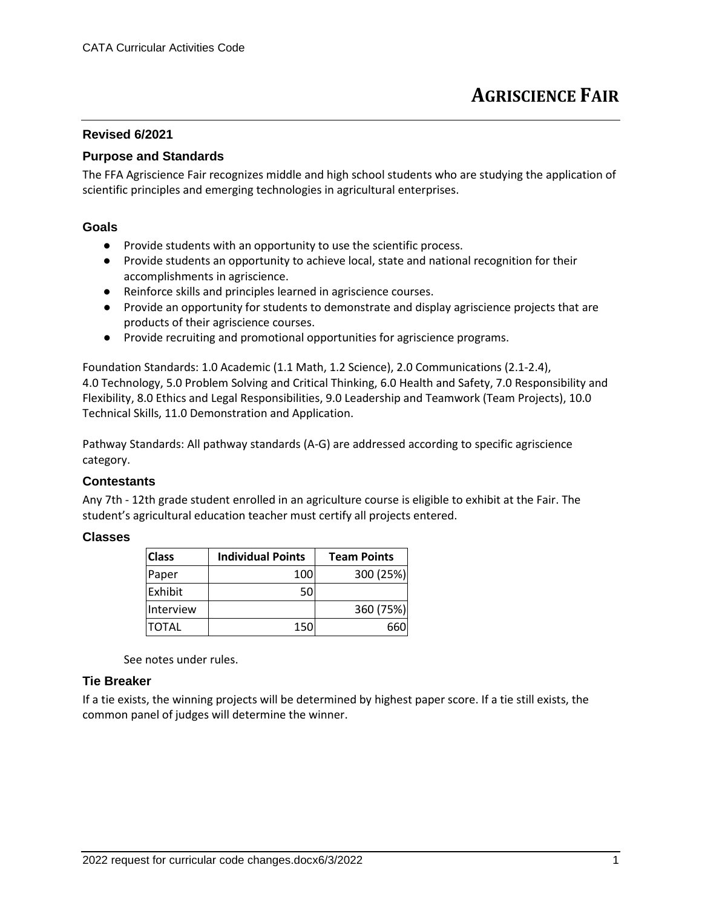## **Revised 6/2021**

## **Purpose and Standards**

The FFA Agriscience Fair recognizes middle and high school students who are studying the application of scientific principles and emerging technologies in agricultural enterprises.

#### **Goals**

- Provide students with an opportunity to use the scientific process.
- Provide students an opportunity to achieve local, state and national recognition for their accomplishments in agriscience.
- Reinforce skills and principles learned in agriscience courses.
- Provide an opportunity for students to demonstrate and display agriscience projects that are products of their agriscience courses.
- Provide recruiting and promotional opportunities for agriscience programs.

Foundation Standards: 1.0 Academic (1.1 Math, 1.2 Science), 2.0 Communications (2.1-2.4), 4.0 Technology, 5.0 Problem Solving and Critical Thinking, 6.0 Health and Safety, 7.0 Responsibility and Flexibility, 8.0 Ethics and Legal Responsibilities, 9.0 Leadership and Teamwork (Team Projects), 10.0 Technical Skills, 11.0 Demonstration and Application.

Pathway Standards: All pathway standards (A-G) are addressed according to specific agriscience category.

## **Contestants**

Any 7th - 12th grade student enrolled in an agriculture course is eligible to exhibit at the Fair. The student's agricultural education teacher must certify all projects entered.

#### **Classes**

| <b>Class</b> | <b>Individual Points</b> | <b>Team Points</b> |
|--------------|--------------------------|--------------------|
| Paper        | 100                      | 300 (25%)          |
| Exhibit      | 50                       |                    |
| Interview    |                          | 360 (75%)          |
| <b>TOTAL</b> | 150                      | 660                |

See notes under rules.

## **Tie Breaker**

If a tie exists, the winning projects will be determined by highest paper score. If a tie still exists, the common panel of judges will determine the winner.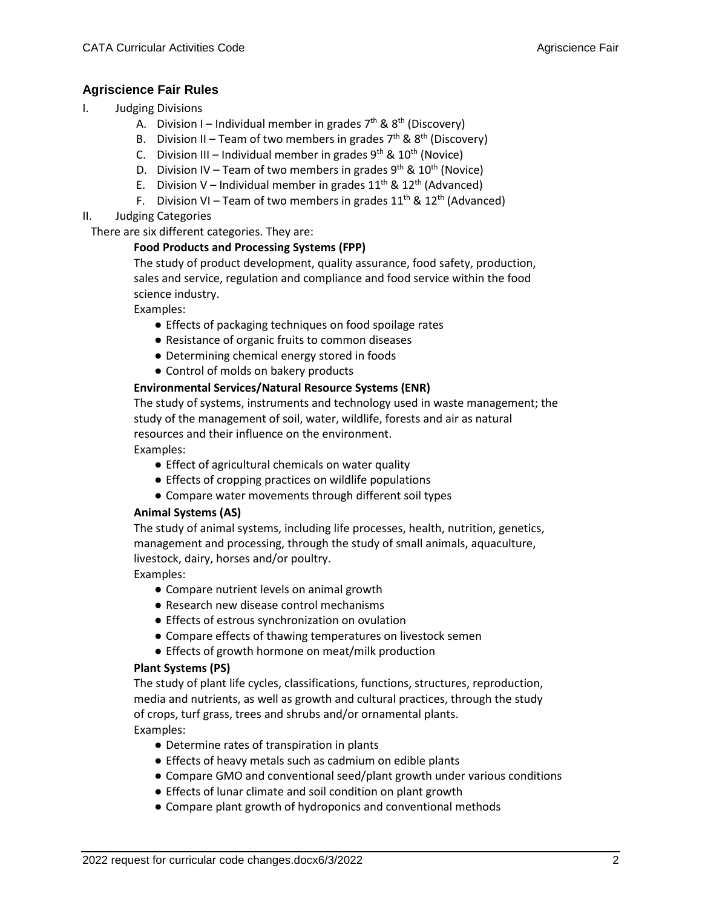## **Agriscience Fair Rules**

- I. Judging Divisions
	- A. Division I Individual member in grades  $7<sup>th</sup>$  &  $8<sup>th</sup>$  (Discovery)
	- B. Division II Team of two members in grades  $7<sup>th</sup>$  &  $8<sup>th</sup>$  (Discovery)
	- C. Division III Individual member in grades  $9^{th}$  &  $10^{th}$  (Novice)
	- D. Division IV Team of two members in grades  $9^{th}$  &  $10^{th}$  (Novice)
	- E. Division V Individual member in grades  $11^{th}$  &  $12^{th}$  (Advanced)
	- F. Division VI Team of two members in grades  $11^{th}$  &  $12^{th}$  (Advanced)
- II. Judging Categories

There are six different categories. They are:

### **Food Products and Processing Systems (FPP)**

The study of product development, quality assurance, food safety, production, sales and service, regulation and compliance and food service within the food science industry.

Examples:

- Effects of packaging techniques on food spoilage rates
- Resistance of organic fruits to common diseases
- Determining chemical energy stored in foods
- Control of molds on bakery products

### **Environmental Services/Natural Resource Systems (ENR)**

The study of systems, instruments and technology used in waste management; the study of the management of soil, water, wildlife, forests and air as natural resources and their influence on the environment. Examples:

- Effect of agricultural chemicals on water quality
- Effects of cropping practices on wildlife populations
- Compare water movements through different soil types

#### **Animal Systems (AS)**

The study of animal systems, including life processes, health, nutrition, genetics, management and processing, through the study of small animals, aquaculture, livestock, dairy, horses and/or poultry.

Examples:

- Compare nutrient levels on animal growth
- Research new disease control mechanisms
- Effects of estrous synchronization on ovulation
- Compare effects of thawing temperatures on livestock semen
- Effects of growth hormone on meat/milk production

#### **Plant Systems (PS)**

The study of plant life cycles, classifications, functions, structures, reproduction, media and nutrients, as well as growth and cultural practices, through the study of crops, turf grass, trees and shrubs and/or ornamental plants. Examples:

- Determine rates of transpiration in plants
- Effects of heavy metals such as cadmium on edible plants
- Compare GMO and conventional seed/plant growth under various conditions
- Effects of lunar climate and soil condition on plant growth
- Compare plant growth of hydroponics and conventional methods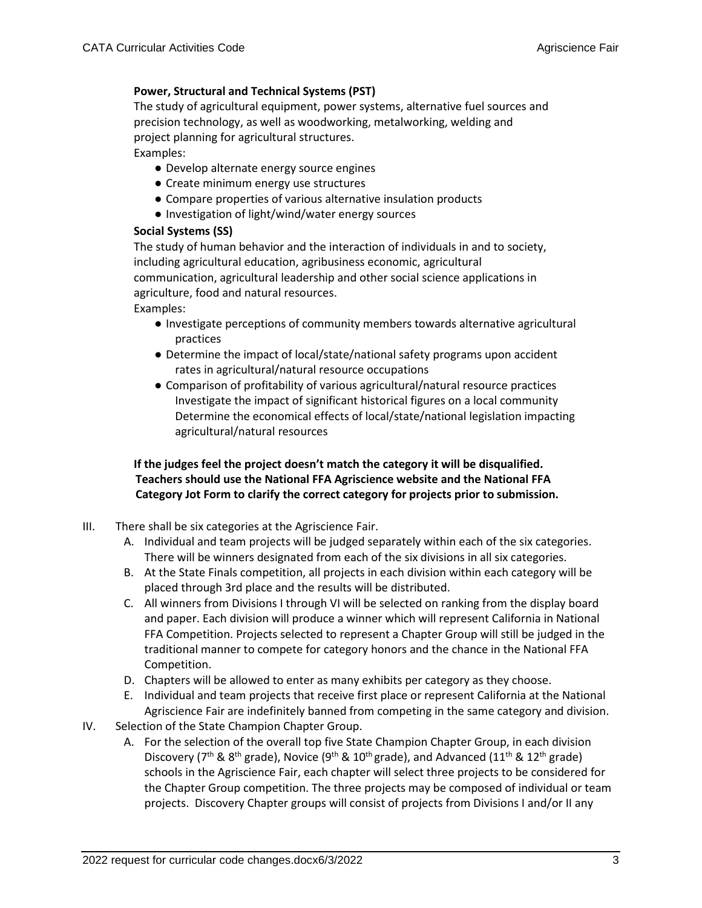## **Power, Structural and Technical Systems (PST)**

The study of agricultural equipment, power systems, alternative fuel sources and precision technology, as well as woodworking, metalworking, welding and project planning for agricultural structures. Examples:

- Develop alternate energy source engines
- Create minimum energy use structures
- Compare properties of various alternative insulation products
- Investigation of light/wind/water energy sources

### **Social Systems (SS)**

The study of human behavior and the interaction of individuals in and to society, including agricultural education, agribusiness economic, agricultural communication, agricultural leadership and other social science applications in agriculture, food and natural resources.

Examples:

- Investigate perceptions of community members towards alternative agricultural practices
- Determine the impact of local/state/national safety programs upon accident rates in agricultural/natural resource occupations
- Comparison of profitability of various agricultural/natural resource practices Investigate the impact of significant historical figures on a local community Determine the economical effects of local/state/national legislation impacting agricultural/natural resources

## **If the judges feel the project doesn't match the category it will be disqualified. Teachers should use the National FFA Agriscience website and the National FFA Category Jot Form to clarify the correct category for projects prior to submission.**

- III. There shall be six categories at the Agriscience Fair.
	- A. Individual and team projects will be judged separately within each of the six categories. There will be winners designated from each of the six divisions in all six categories.
	- B. At the State Finals competition, all projects in each division within each category will be placed through 3rd place and the results will be distributed.
	- C. All winners from Divisions I through VI will be selected on ranking from the display board and paper. Each division will produce a winner which will represent California in National FFA Competition. Projects selected to represent a Chapter Group will still be judged in the traditional manner to compete for category honors and the chance in the National FFA Competition.
	- D. Chapters will be allowed to enter as many exhibits per category as they choose.
	- E. Individual and team projects that receive first place or represent California at the National Agriscience Fair are indefinitely banned from competing in the same category and division.
- IV. Selection of the State Champion Chapter Group.
	- A. For the selection of the overall top five State Champion Chapter Group, in each division Discovery ( $7<sup>th</sup>$  & 8<sup>th</sup> grade), Novice (9<sup>th</sup> & 10<sup>th</sup> grade), and Advanced (11<sup>th</sup> & 12<sup>th</sup> grade) schools in the Agriscience Fair, each chapter will select three projects to be considered for the Chapter Group competition. The three projects may be composed of individual or team projects. Discovery Chapter groups will consist of projects from Divisions I and/or II any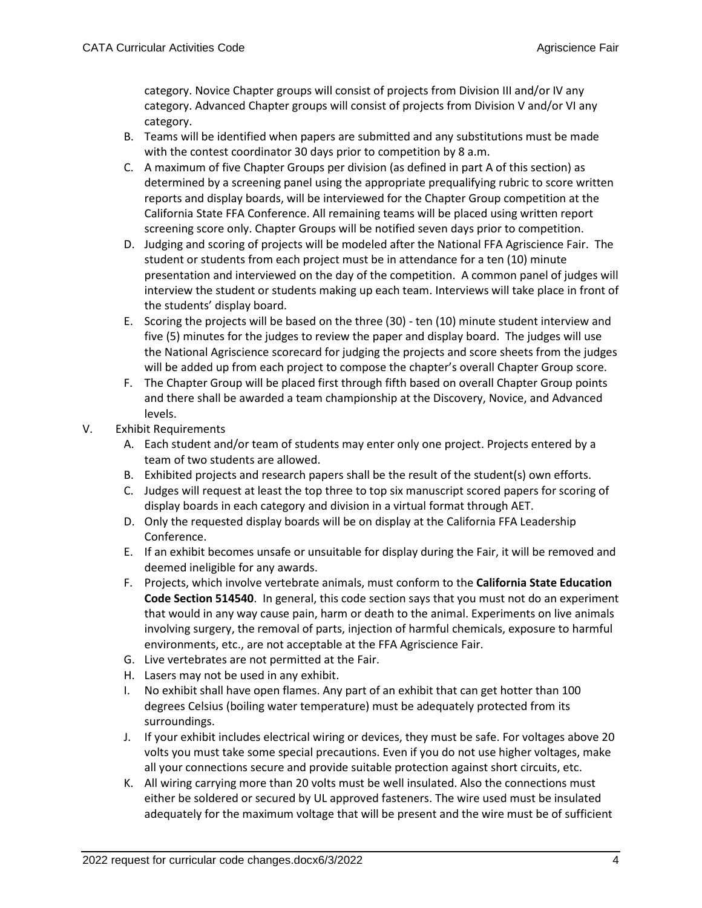category. Novice Chapter groups will consist of projects from Division III and/or IV any category. Advanced Chapter groups will consist of projects from Division V and/or VI any category.

- B. Teams will be identified when papers are submitted and any substitutions must be made with the contest coordinator 30 days prior to competition by 8 a.m.
- C. A maximum of five Chapter Groups per division (as defined in part A of this section) as determined by a screening panel using the appropriate prequalifying rubric to score written reports and display boards, will be interviewed for the Chapter Group competition at the California State FFA Conference. All remaining teams will be placed using written report screening score only. Chapter Groups will be notified seven days prior to competition.
- D. Judging and scoring of projects will be modeled after the National FFA Agriscience Fair. The student or students from each project must be in attendance for a ten (10) minute presentation and interviewed on the day of the competition. A common panel of judges will interview the student or students making up each team. Interviews will take place in front of the students' display board.
- E. Scoring the projects will be based on the three (30) ten (10) minute student interview and five (5) minutes for the judges to review the paper and display board. The judges will use the National Agriscience scorecard for judging the projects and score sheets from the judges will be added up from each project to compose the chapter's overall Chapter Group score.
- F. The Chapter Group will be placed first through fifth based on overall Chapter Group points and there shall be awarded a team championship at the Discovery, Novice, and Advanced levels.
- V. Exhibit Requirements
	- A. Each student and/or team of students may enter only one project. Projects entered by a team of two students are allowed.
	- B. Exhibited projects and research papers shall be the result of the student(s) own efforts.
	- C. Judges will request at least the top three to top six manuscript scored papers for scoring of display boards in each category and division in a virtual format through AET.
	- D. Only the requested display boards will be on display at the California FFA Leadership Conference.
	- E. If an exhibit becomes unsafe or unsuitable for display during the Fair, it will be removed and deemed ineligible for any awards.
	- F. Projects, which involve vertebrate animals, must conform to the **California State Education Code Section 514540**. In general, this code section says that you must not do an experiment that would in any way cause pain, harm or death to the animal. Experiments on live animals involving surgery, the removal of parts, injection of harmful chemicals, exposure to harmful environments, etc., are not acceptable at the FFA Agriscience Fair.
	- G. Live vertebrates are not permitted at the Fair.
	- H. Lasers may not be used in any exhibit.
	- I. No exhibit shall have open flames. Any part of an exhibit that can get hotter than 100 degrees Celsius (boiling water temperature) must be adequately protected from its surroundings.
	- J. If your exhibit includes electrical wiring or devices, they must be safe. For voltages above 20 volts you must take some special precautions. Even if you do not use higher voltages, make all your connections secure and provide suitable protection against short circuits, etc.
	- K. All wiring carrying more than 20 volts must be well insulated. Also the connections must either be soldered or secured by UL approved fasteners. The wire used must be insulated adequately for the maximum voltage that will be present and the wire must be of sufficient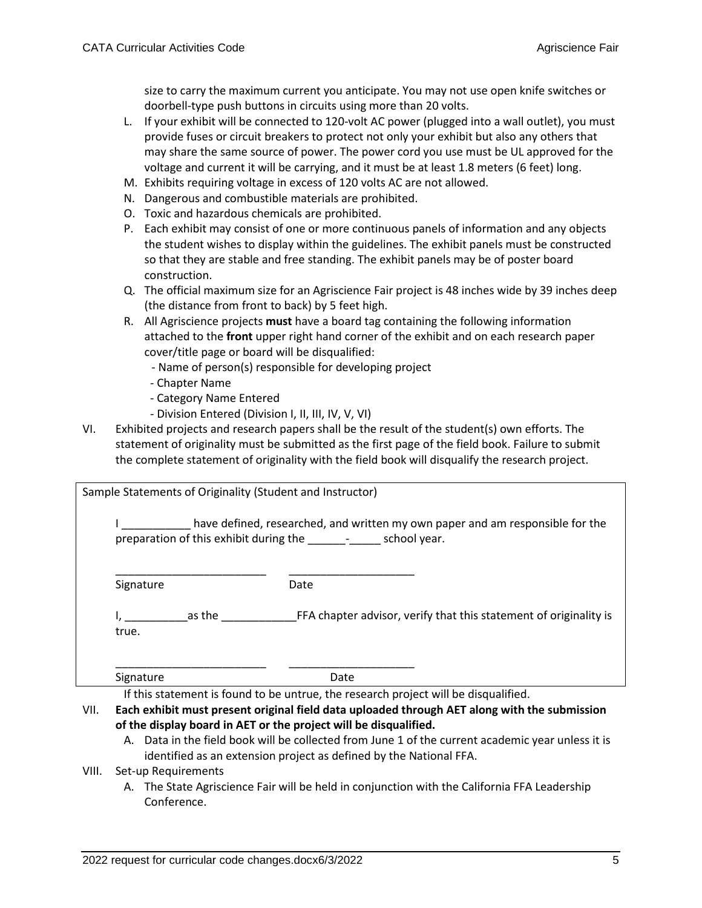size to carry the maximum current you anticipate. You may not use open knife switches or doorbell-type push buttons in circuits using more than 20 volts.

- L. If your exhibit will be connected to 120-volt AC power (plugged into a wall outlet), you must provide fuses or circuit breakers to protect not only your exhibit but also any others that may share the same source of power. The power cord you use must be UL approved for the voltage and current it will be carrying, and it must be at least 1.8 meters (6 feet) long.
- M. Exhibits requiring voltage in excess of 120 volts AC are not allowed.
- N. Dangerous and combustible materials are prohibited.
- O. Toxic and hazardous chemicals are prohibited.
- P. Each exhibit may consist of one or more continuous panels of information and any objects the student wishes to display within the guidelines. The exhibit panels must be constructed so that they are stable and free standing. The exhibit panels may be of poster board construction.
- Q. The official maximum size for an Agriscience Fair project is 48 inches wide by 39 inches deep (the distance from front to back) by 5 feet high.
- R. All Agriscience projects **must** have a board tag containing the following information attached to the **front** upper right hand corner of the exhibit and on each research paper cover/title page or board will be disqualified:
	- Name of person(s) responsible for developing project
	- Chapter Name
	- Category Name Entered
	- Division Entered (Division I, II, III, IV, V, VI)
- VI. Exhibited projects and research papers shall be the result of the student(s) own efforts. The statement of originality must be submitted as the first page of the field book. Failure to submit the complete statement of originality with the field book will disqualify the research project.

| Sample Statements of Originality (Student and Instructor) |                                                                                                                                                        |
|-----------------------------------------------------------|--------------------------------------------------------------------------------------------------------------------------------------------------------|
|                                                           | have defined, researched, and written my own paper and am responsible for the<br>preparation of this exhibit during the _________________ school year. |
| Signature                                                 | Date                                                                                                                                                   |
| as the<br>true.                                           | FFA chapter advisor, verify that this statement of originality is                                                                                      |
| Signature                                                 | Date                                                                                                                                                   |

If this statement is found to be untrue, the research project will be disqualified.

- VII. **Each exhibit must present original field data uploaded through AET along with the submission of the display board in AET or the project will be disqualified.**
	- A. Data in the field book will be collected from June 1 of the current academic year unless it is identified as an extension project as defined by the National FFA.

## VIII. Set-up Requirements

A. The State Agriscience Fair will be held in conjunction with the California FFA Leadership Conference.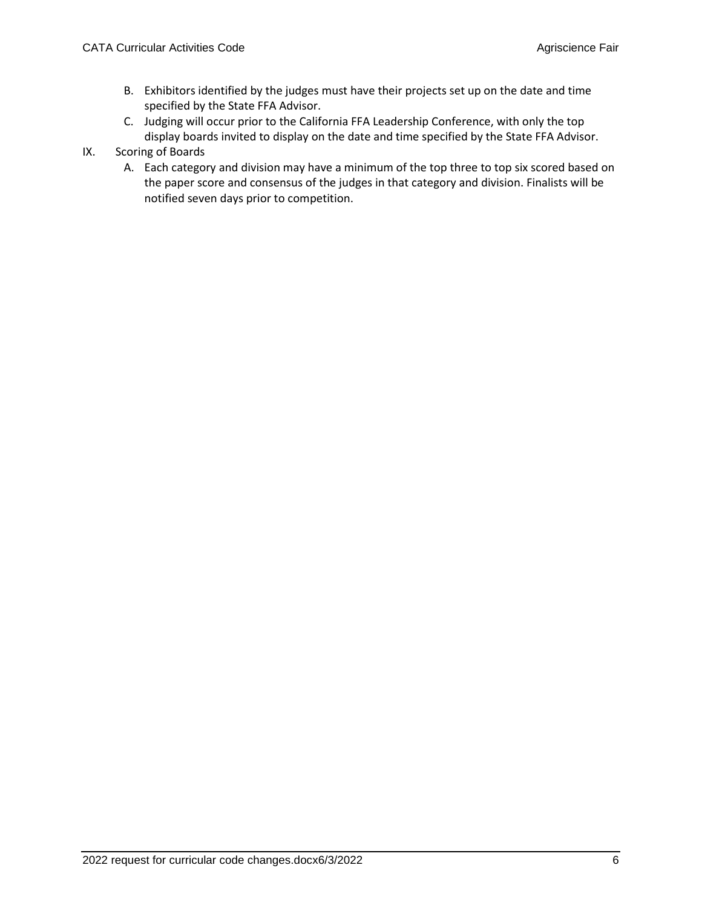- B. Exhibitors identified by the judges must have their projects set up on the date and time specified by the State FFA Advisor.
- C. Judging will occur prior to the California FFA Leadership Conference, with only the top display boards invited to display on the date and time specified by the State FFA Advisor.
- IX. Scoring of Boards
	- A. Each category and division may have a minimum of the top three to top six scored based on the paper score and consensus of the judges in that category and division. Finalists will be notified seven days prior to competition.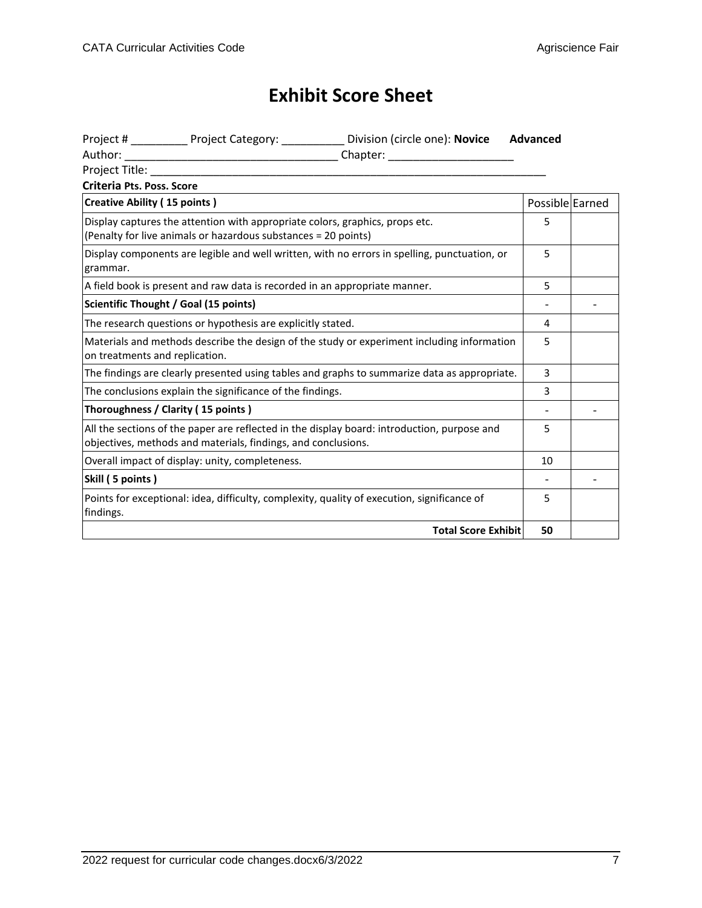## **Exhibit Score Sheet**

|                                     |                                                                                                                                                | Project # ____________ Project Category: ____________ Division (circle one): Novice          | Advanced        |  |
|-------------------------------------|------------------------------------------------------------------------------------------------------------------------------------------------|----------------------------------------------------------------------------------------------|-----------------|--|
|                                     |                                                                                                                                                |                                                                                              |                 |  |
| Project Title:                      |                                                                                                                                                |                                                                                              |                 |  |
| Criteria Pts. Poss. Score           |                                                                                                                                                |                                                                                              |                 |  |
| <b>Creative Ability (15 points)</b> |                                                                                                                                                |                                                                                              | Possible Earned |  |
|                                     | Display captures the attention with appropriate colors, graphics, props etc.<br>(Penalty for live animals or hazardous substances = 20 points) |                                                                                              | 5               |  |
| grammar.                            |                                                                                                                                                | Display components are legible and well written, with no errors in spelling, punctuation, or | 5               |  |
|                                     | A field book is present and raw data is recorded in an appropriate manner.                                                                     |                                                                                              | 5               |  |
|                                     | Scientific Thought / Goal (15 points)                                                                                                          |                                                                                              |                 |  |
|                                     | The research questions or hypothesis are explicitly stated.                                                                                    |                                                                                              | 4               |  |
| on treatments and replication.      |                                                                                                                                                | Materials and methods describe the design of the study or experiment including information   | 5               |  |
|                                     |                                                                                                                                                | The findings are clearly presented using tables and graphs to summarize data as appropriate. | 3               |  |
|                                     | The conclusions explain the significance of the findings.                                                                                      |                                                                                              | 3               |  |
|                                     | Thoroughness / Clarity (15 points)                                                                                                             |                                                                                              |                 |  |
|                                     | objectives, methods and materials, findings, and conclusions.                                                                                  | All the sections of the paper are reflected in the display board: introduction, purpose and  | 5               |  |
|                                     | Overall impact of display: unity, completeness.                                                                                                |                                                                                              | 10              |  |
| Skill (5 points)                    |                                                                                                                                                |                                                                                              |                 |  |
| findings.                           |                                                                                                                                                | Points for exceptional: idea, difficulty, complexity, quality of execution, significance of  | 5               |  |
|                                     |                                                                                                                                                | <b>Total Score Exhibit</b>                                                                   | 50              |  |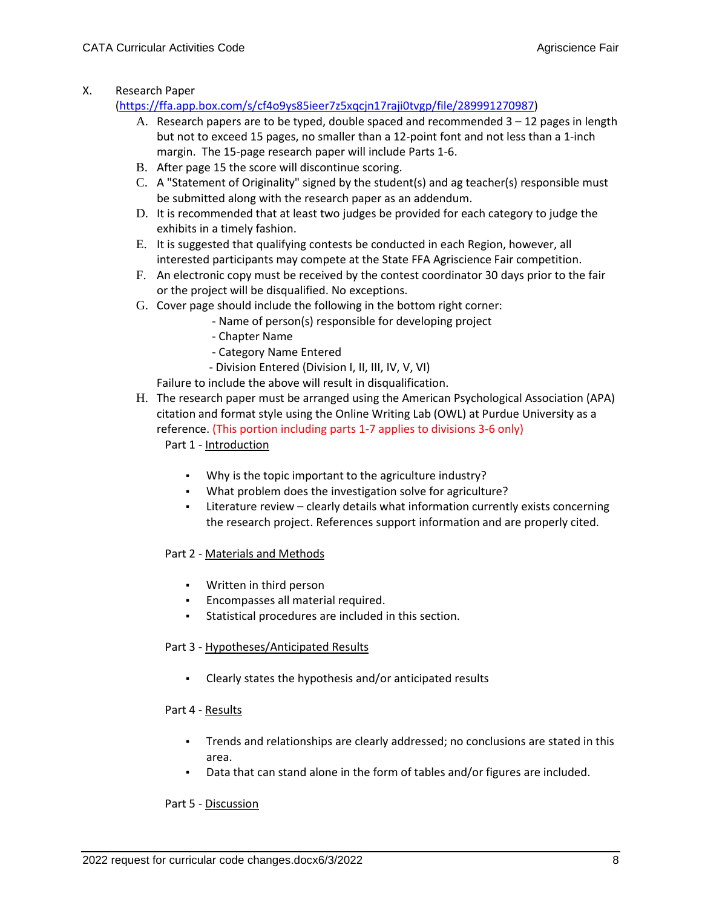X. Research Paper

[\(https://ffa.app.box.com/s/cf4o9ys85ieer7z5xqcjn17raji0tvgp/file/289991270987\)](https://ffa.app.box.com/s/cf4o9ys85ieer7z5xqcjn17raji0tvgp/file/289991270987)

- A. Research papers are to be typed, double spaced and recommended  $3 12$  pages in length but not to exceed 15 pages, no smaller than a 12-point font and not less than a 1-inch margin. The 15-page research paper will include Parts 1-6.
- B. After page 15 the score will discontinue scoring.
- C. A "Statement of Originality" signed by the student(s) and ag teacher(s) responsible must be submitted along with the research paper as an addendum.
- D. It is recommended that at least two judges be provided for each category to judge the exhibits in a timely fashion.
- E. It is suggested that qualifying contests be conducted in each Region, however, all interested participants may compete at the State FFA Agriscience Fair competition.
- F. An electronic copy must be received by the contest coordinator 30 days prior to the fair or the project will be disqualified. No exceptions.
- G. Cover page should include the following in the bottom right corner:
	- Name of person(s) responsible for developing project
		- Chapter Name
		- Category Name Entered
	- Division Entered (Division I, II, III, IV, V, VI)

Failure to include the above will result in disqualification.

- H. The research paper must be arranged using the American Psychological Association (APA) citation and format style using the Online Writing Lab (OWL) at Purdue University as a reference. (This portion including parts 1-7 applies to divisions 3-6 only) Part 1 - Introduction
	- Why is the topic important to the agriculture industry?
	- What problem does the investigation solve for agriculture?
	- Literature review clearly details what information currently exists concerning the research project. References support information and are properly cited.

#### Part 2 - Materials and Methods

- Written in third person
- Encompasses all material required.
- Statistical procedures are included in this section.

#### Part 3 - Hypotheses/Anticipated Results

▪ Clearly states the hypothesis and/or anticipated results

#### Part 4 - Results

- Trends and relationships are clearly addressed; no conclusions are stated in this area.
- Data that can stand alone in the form of tables and/or figures are included.

#### Part 5 - Discussion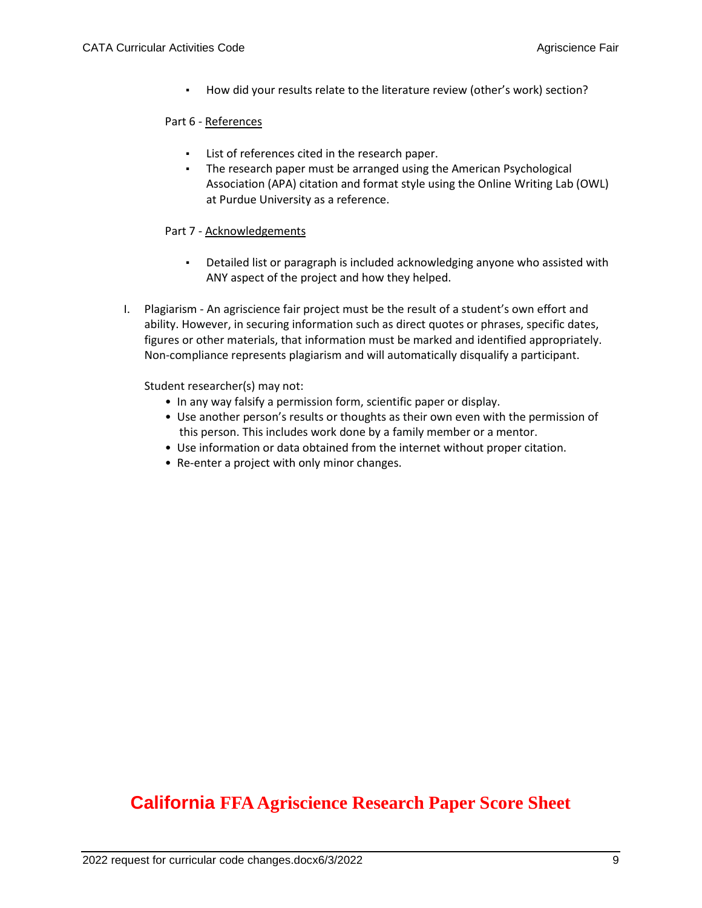▪ How did your results relate to the literature review (other's work) section?

### Part 6 - References

- List of references cited in the research paper.
- The research paper must be arranged using the American Psychological Association (APA) citation and format style using the Online Writing Lab (OWL) at Purdue University as a reference.

## Part 7 - Acknowledgements

- Detailed list or paragraph is included acknowledging anyone who assisted with ANY aspect of the project and how they helped.
- I. Plagiarism An agriscience fair project must be the result of a student's own effort and ability. However, in securing information such as direct quotes or phrases, specific dates, figures or other materials, that information must be marked and identified appropriately. Non-compliance represents plagiarism and will automatically disqualify a participant.

Student researcher(s) may not:

- In any way falsify a permission form, scientific paper or display.
- Use another person's results or thoughts as their own even with the permission of this person. This includes work done by a family member or a mentor.
- Use information or data obtained from the internet without proper citation.
- Re-enter a project with only minor changes.

## **California FFA Agriscience Research Paper Score Sheet**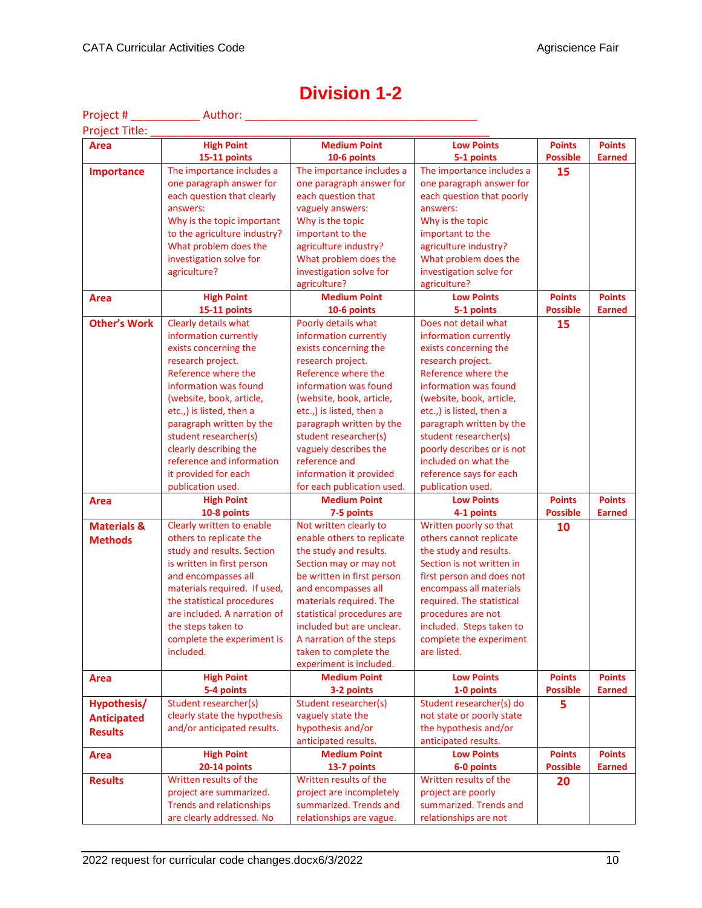| Project #              | <b>Example 2018</b> Author:                                  |                                                    |                                                 |                                  |                                |
|------------------------|--------------------------------------------------------------|----------------------------------------------------|-------------------------------------------------|----------------------------------|--------------------------------|
| Project Title:         |                                                              |                                                    |                                                 |                                  |                                |
| <b>Area</b>            | <b>High Point</b>                                            | <b>Medium Point</b>                                | <b>Low Points</b>                               | <b>Points</b>                    | <b>Points</b>                  |
|                        | 15-11 points                                                 | 10-6 points                                        | 5-1 points                                      | <b>Possible</b>                  | <b>Earned</b>                  |
| <b>Importance</b>      | The importance includes a                                    | The importance includes a                          | The importance includes a                       | 15                               |                                |
|                        | one paragraph answer for                                     | one paragraph answer for                           | one paragraph answer for                        |                                  |                                |
|                        | each question that clearly                                   | each question that                                 | each question that poorly                       |                                  |                                |
|                        | answers:                                                     | vaguely answers:                                   | answers:                                        |                                  |                                |
|                        | Why is the topic important                                   | Why is the topic                                   | Why is the topic                                |                                  |                                |
|                        | to the agriculture industry?                                 | important to the                                   | important to the                                |                                  |                                |
|                        | What problem does the                                        | agriculture industry?                              | agriculture industry?                           |                                  |                                |
|                        | investigation solve for                                      | What problem does the                              | What problem does the                           |                                  |                                |
|                        | agriculture?                                                 | investigation solve for                            | investigation solve for                         |                                  |                                |
|                        |                                                              | agriculture?                                       | agriculture?                                    |                                  |                                |
| Area                   | <b>High Point</b>                                            | <b>Medium Point</b>                                | <b>Low Points</b>                               | <b>Points</b>                    | <b>Points</b>                  |
|                        | 15-11 points                                                 | 10-6 points                                        | 5-1 points                                      | <b>Possible</b>                  | <b>Earned</b>                  |
| <b>Other's Work</b>    | Clearly details what                                         | Poorly details what                                | Does not detail what                            | 15                               |                                |
|                        | information currently                                        | information currently                              | information currently                           |                                  |                                |
|                        | exists concerning the                                        | exists concerning the                              | exists concerning the                           |                                  |                                |
|                        | research project.                                            | research project.                                  | research project.                               |                                  |                                |
|                        | Reference where the                                          | Reference where the                                | Reference where the                             |                                  |                                |
|                        | information was found                                        | information was found                              | information was found                           |                                  |                                |
|                        | (website, book, article,                                     | (website, book, article,                           | (website, book, article,                        |                                  |                                |
|                        | etc.,) is listed, then a                                     | etc.,) is listed, then a                           | etc.,) is listed, then a                        |                                  |                                |
|                        | paragraph written by the                                     | paragraph written by the                           | paragraph written by the                        |                                  |                                |
|                        | student researcher(s)                                        | student researcher(s)                              | student researcher(s)                           |                                  |                                |
|                        | clearly describing the                                       | vaguely describes the                              | poorly describes or is not                      |                                  |                                |
|                        | reference and information                                    | reference and                                      | included on what the                            |                                  |                                |
|                        | it provided for each                                         | information it provided                            | reference says for each                         |                                  |                                |
|                        | publication used.                                            | for each publication used.                         | publication used.                               |                                  |                                |
| <b>Area</b>            | <b>High Point</b>                                            | <b>Medium Point</b>                                | <b>Low Points</b>                               | <b>Points</b>                    | <b>Points</b>                  |
|                        | 10-8 points                                                  | 7-5 points                                         | 4-1 points                                      | <b>Possible</b>                  | <b>Earned</b>                  |
| <b>Materials &amp;</b> | Clearly written to enable                                    | Not written clearly to                             | Written poorly so that                          | 10                               |                                |
| <b>Methods</b>         | others to replicate the                                      | enable others to replicate                         | others cannot replicate                         |                                  |                                |
|                        | study and results. Section                                   | the study and results.                             | the study and results.                          |                                  |                                |
|                        | is written in first person                                   | Section may or may not                             | Section is not written in                       |                                  |                                |
|                        | and encompasses all                                          | be written in first person                         | first person and does not                       |                                  |                                |
|                        | materials required. If used,                                 | and encompasses all                                | encompass all materials                         |                                  |                                |
|                        | the statistical procedures                                   | materials required. The                            | required. The statistical                       |                                  |                                |
|                        | are included. A narration of                                 | statistical procedures are                         | procedures are not                              |                                  |                                |
|                        | the steps taken to                                           | included but are unclear.                          | included. Steps taken to                        |                                  |                                |
|                        | complete the experiment is                                   | A narration of the steps                           | complete the experiment                         |                                  |                                |
|                        | included.                                                    | taken to complete the                              | are listed.                                     |                                  |                                |
|                        |                                                              | experiment is included.                            |                                                 |                                  |                                |
| Area                   | <b>High Point</b>                                            | <b>Medium Point</b>                                | <b>Low Points</b>                               | <b>Points</b>                    | <b>Points</b>                  |
|                        | 5-4 points                                                   | 3-2 points                                         | 1-0 points                                      | <b>Possible</b>                  | <b>Earned</b>                  |
| Hypothesis/            | Student researcher(s)                                        | Student researcher(s)                              | Student researcher(s) do                        | 5.                               |                                |
| <b>Anticipated</b>     | clearly state the hypothesis                                 | vaguely state the                                  | not state or poorly state                       |                                  |                                |
| <b>Results</b>         | and/or anticipated results.                                  | hypothesis and/or                                  | the hypothesis and/or                           |                                  |                                |
|                        |                                                              | anticipated results.                               | anticipated results.                            |                                  |                                |
| <b>Area</b>            | <b>High Point</b>                                            | <b>Medium Point</b>                                | <b>Low Points</b><br>6-0 points                 | <b>Points</b><br><b>Possible</b> | <b>Points</b><br><b>Earned</b> |
|                        |                                                              |                                                    |                                                 |                                  |                                |
|                        | 20-14 points                                                 | 13-7 points                                        |                                                 |                                  |                                |
| <b>Results</b>         | Written results of the                                       | Written results of the                             | Written results of the                          | 20                               |                                |
|                        | project are summarized.                                      | project are incompletely                           | project are poorly                              |                                  |                                |
|                        | <b>Trends and relationships</b><br>are clearly addressed. No | summarized. Trends and<br>relationships are vague. | summarized. Trends and<br>relationships are not |                                  |                                |

## **Division 1-2**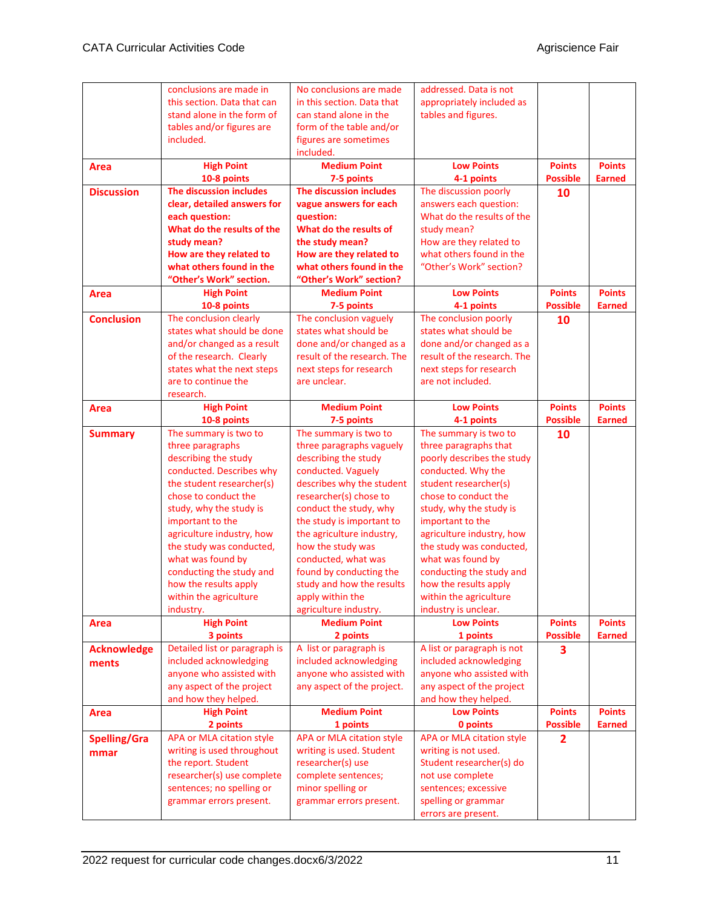|                     | conclusions are made in                   | No conclusions are made            | addressed. Data is not                               |                 |               |
|---------------------|-------------------------------------------|------------------------------------|------------------------------------------------------|-----------------|---------------|
|                     | this section. Data that can               | in this section. Data that         | appropriately included as                            |                 |               |
|                     | stand alone in the form of                | can stand alone in the             | tables and figures.                                  |                 |               |
|                     | tables and/or figures are                 | form of the table and/or           |                                                      |                 |               |
|                     | included.                                 | figures are sometimes              |                                                      |                 |               |
|                     |                                           | included.                          |                                                      |                 |               |
| <b>Area</b>         | <b>High Point</b>                         | <b>Medium Point</b>                | <b>Low Points</b>                                    | <b>Points</b>   | <b>Points</b> |
|                     | 10-8 points                               | 7-5 points                         | 4-1 points                                           | <b>Possible</b> | <b>Earned</b> |
| <b>Discussion</b>   | The discussion includes                   | The discussion includes            | The discussion poorly                                | 10              |               |
|                     | clear, detailed answers for               | vague answers for each             | answers each question:                               |                 |               |
|                     | each question:                            | question:                          | What do the results of the                           |                 |               |
|                     | What do the results of the                | What do the results of             | study mean?                                          |                 |               |
|                     | study mean?                               | the study mean?                    | How are they related to                              |                 |               |
|                     | How are they related to                   | How are they related to            | what others found in the                             |                 |               |
|                     | what others found in the                  | what others found in the           | "Other's Work" section?                              |                 |               |
|                     | "Other's Work" section.                   | "Other's Work" section?            |                                                      |                 |               |
| Area                | <b>High Point</b>                         | <b>Medium Point</b>                | <b>Low Points</b>                                    | <b>Points</b>   | <b>Points</b> |
|                     | 10-8 points                               | 7-5 points                         | 4-1 points                                           | <b>Possible</b> | <b>Earned</b> |
| <b>Conclusion</b>   | The conclusion clearly                    | The conclusion vaguely             | The conclusion poorly                                | 10              |               |
|                     | states what should be done                | states what should be              | states what should be                                |                 |               |
|                     | and/or changed as a result                | done and/or changed as a           | done and/or changed as a                             |                 |               |
|                     | of the research. Clearly                  | result of the research. The        | result of the research. The                          |                 |               |
|                     | states what the next steps                | next steps for research            | next steps for research                              |                 |               |
|                     | are to continue the                       | are unclear.                       | are not included.                                    |                 |               |
|                     | research.                                 |                                    |                                                      |                 |               |
| <b>Area</b>         | <b>High Point</b>                         | <b>Medium Point</b>                | <b>Low Points</b>                                    | <b>Points</b>   | <b>Points</b> |
|                     | 10-8 points                               | 7-5 points                         | 4-1 points                                           | <b>Possible</b> | <b>Earned</b> |
| <b>Summary</b>      | The summary is two to                     | The summary is two to              | The summary is two to                                | 10              |               |
|                     | three paragraphs                          | three paragraphs vaguely           | three paragraphs that                                |                 |               |
|                     | describing the study                      | describing the study               | poorly describes the study                           |                 |               |
|                     | conducted. Describes why                  | conducted. Vaguely                 | conducted. Why the                                   |                 |               |
|                     | the student researcher(s)                 | describes why the student          | student researcher(s)                                |                 |               |
|                     | chose to conduct the                      | researcher(s) chose to             | chose to conduct the                                 |                 |               |
|                     | study, why the study is                   | conduct the study, why             | study, why the study is                              |                 |               |
|                     | important to the                          | the study is important to          | important to the                                     |                 |               |
|                     | agriculture industry, how                 | the agriculture industry,          | agriculture industry, how                            |                 |               |
|                     | the study was conducted,                  | how the study was                  | the study was conducted,                             |                 |               |
|                     | what was found by                         | conducted, what was                | what was found by                                    |                 |               |
|                     | conducting the study and                  | found by conducting the            | conducting the study and                             |                 |               |
|                     | how the results apply                     | study and how the results          | how the results apply                                |                 |               |
|                     | within the agriculture                    | apply within the                   | within the agriculture                               |                 |               |
|                     | industry.                                 | agriculture industry.              | industry is unclear.                                 |                 |               |
| <b>Area</b>         | <b>High Point</b>                         | <b>Medium Point</b>                | <b>Low Points</b>                                    | <b>Points</b>   | <b>Points</b> |
|                     | 3 points<br>Detailed list or paragraph is | 2 points<br>A list or paragraph is | 1 points                                             | <b>Possible</b> | <b>Earned</b> |
| <b>Acknowledge</b>  | included acknowledging                    | included acknowledging             | A list or paragraph is not<br>included acknowledging | 3               |               |
| ments               | anyone who assisted with                  | anyone who assisted with           | anyone who assisted with                             |                 |               |
|                     | any aspect of the project                 | any aspect of the project.         | any aspect of the project                            |                 |               |
|                     | and how they helped.                      |                                    | and how they helped.                                 |                 |               |
| <b>Area</b>         | <b>High Point</b>                         | <b>Medium Point</b>                | <b>Low Points</b>                                    | <b>Points</b>   | <b>Points</b> |
|                     | 2 points                                  | 1 points                           | 0 points                                             | <b>Possible</b> | <b>Earned</b> |
| <b>Spelling/Gra</b> | APA or MLA citation style                 | APA or MLA citation style          | <b>APA or MLA citation style</b>                     | $\overline{2}$  |               |
| mmar                | writing is used throughout                | writing is used. Student           | writing is not used.                                 |                 |               |
|                     | the report. Student                       | researcher(s) use                  | Student researcher(s) do                             |                 |               |
|                     | researcher(s) use complete                | complete sentences;                | not use complete                                     |                 |               |
|                     | sentences; no spelling or                 | minor spelling or                  | sentences; excessive                                 |                 |               |
|                     | grammar errors present.                   | grammar errors present.            | spelling or grammar                                  |                 |               |
|                     |                                           |                                    | errors are present.                                  |                 |               |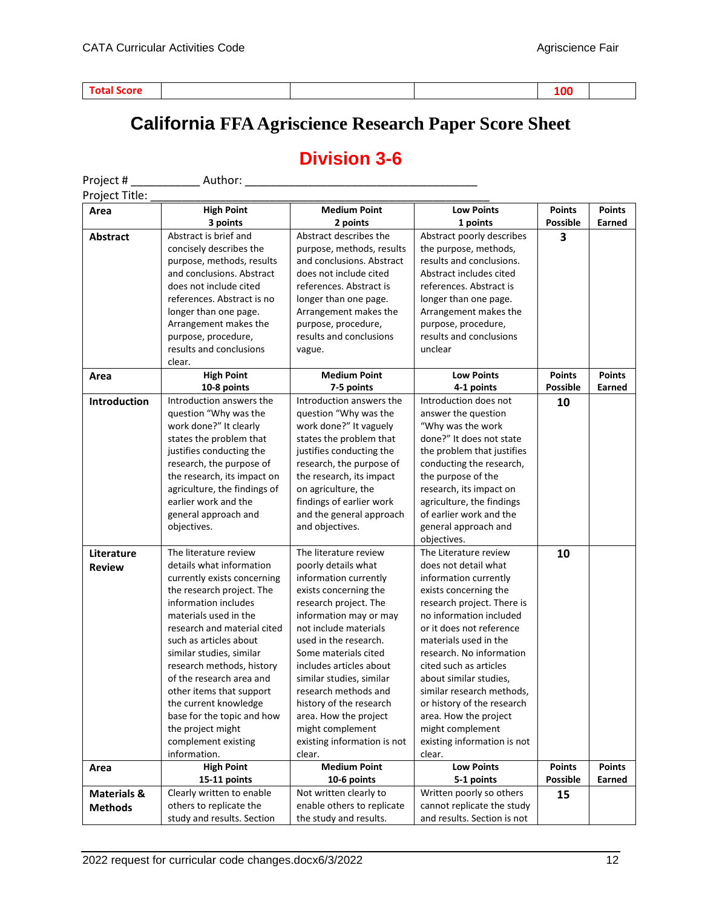## **California FFA Agriscience Research Paper Score Sheet**

## **Division 3-6**

| Project #              | Author:                                               |                                                  |                                                     |                 |               |
|------------------------|-------------------------------------------------------|--------------------------------------------------|-----------------------------------------------------|-----------------|---------------|
| Project Title:         |                                                       |                                                  |                                                     |                 |               |
| Area                   | <b>High Point</b>                                     | <b>Medium Point</b>                              | <b>Low Points</b>                                   | <b>Points</b>   | <b>Points</b> |
|                        | 3 points                                              | 2 points                                         | 1 points                                            | <b>Possible</b> | Earned        |
| <b>Abstract</b>        | Abstract is brief and                                 | Abstract describes the                           | Abstract poorly describes                           | 3               |               |
|                        | concisely describes the                               | purpose, methods, results                        | the purpose, methods,                               |                 |               |
|                        | purpose, methods, results                             | and conclusions. Abstract                        | results and conclusions.                            |                 |               |
|                        | and conclusions. Abstract                             | does not include cited                           | Abstract includes cited                             |                 |               |
|                        | does not include cited                                | references. Abstract is                          | references. Abstract is                             |                 |               |
|                        | references. Abstract is no                            | longer than one page.                            | longer than one page.                               |                 |               |
|                        | longer than one page.                                 | Arrangement makes the                            | Arrangement makes the                               |                 |               |
|                        | Arrangement makes the                                 | purpose, procedure,                              | purpose, procedure,                                 |                 |               |
|                        | purpose, procedure,                                   | results and conclusions                          | results and conclusions                             |                 |               |
|                        | results and conclusions                               | vague.                                           | unclear                                             |                 |               |
|                        | clear.                                                |                                                  |                                                     |                 |               |
| Area                   | <b>High Point</b>                                     | <b>Medium Point</b>                              | <b>Low Points</b>                                   | <b>Points</b>   | <b>Points</b> |
|                        | 10-8 points                                           | 7-5 points                                       | 4-1 points                                          | <b>Possible</b> | Earned        |
| Introduction           | Introduction answers the                              | Introduction answers the                         | Introduction does not                               | 10              |               |
|                        | question "Why was the                                 | question "Why was the                            | answer the question                                 |                 |               |
|                        | work done?" It clearly                                | work done?" It vaguely                           | "Why was the work                                   |                 |               |
|                        | states the problem that                               | states the problem that                          | done?" It does not state                            |                 |               |
|                        | justifies conducting the                              | justifies conducting the                         | the problem that justifies                          |                 |               |
|                        | research, the purpose of                              | research, the purpose of                         | conducting the research,                            |                 |               |
|                        | the research, its impact on                           | the research, its impact                         | the purpose of the                                  |                 |               |
|                        | agriculture, the findings of                          | on agriculture, the                              | research, its impact on                             |                 |               |
|                        | earlier work and the                                  | findings of earlier work                         | agriculture, the findings                           |                 |               |
|                        | general approach and                                  | and the general approach                         | of earlier work and the                             |                 |               |
|                        | objectives.                                           | and objectives.                                  | general approach and                                |                 |               |
|                        |                                                       |                                                  | objectives.                                         |                 |               |
| Literature             | The literature review                                 | The literature review                            | The Literature review                               | 10              |               |
| <b>Review</b>          | details what information                              | poorly details what                              | does not detail what                                |                 |               |
|                        | currently exists concerning                           | information currently                            | information currently                               |                 |               |
|                        | the research project. The                             | exists concerning the                            | exists concerning the                               |                 |               |
|                        | information includes                                  | research project. The                            | research project. There is                          |                 |               |
|                        | materials used in the                                 | information may or may                           | no information included                             |                 |               |
|                        | research and material cited                           | not include materials                            | or it does not reference                            |                 |               |
|                        | such as articles about                                | used in the research.                            | materials used in the                               |                 |               |
|                        | similar studies, similar                              | Some materials cited                             | research. No information                            |                 |               |
|                        | research methods, history<br>of the research area and | includes articles about                          | cited such as articles                              |                 |               |
|                        | other items that support                              | similar studies, similar<br>research methods and | about similar studies,<br>similar research methods, |                 |               |
|                        | the current knowledge                                 | history of the research                          | or history of the research                          |                 |               |
|                        | base for the topic and how                            | area. How the project                            | area. How the project                               |                 |               |
|                        | the project might                                     | might complement                                 | might complement                                    |                 |               |
|                        | complement existing                                   | existing information is not                      | existing information is not                         |                 |               |
|                        | information.                                          | clear.                                           | clear.                                              |                 |               |
| Area                   | <b>High Point</b>                                     | <b>Medium Point</b>                              | <b>Low Points</b>                                   | <b>Points</b>   | <b>Points</b> |
|                        | 15-11 points                                          | 10-6 points                                      | 5-1 points                                          | <b>Possible</b> | Earned        |
| <b>Materials &amp;</b> | Clearly written to enable                             | Not written clearly to                           | Written poorly so others                            | 15              |               |
| <b>Methods</b>         | others to replicate the                               | enable others to replicate                       | cannot replicate the study                          |                 |               |
|                        | study and results. Section                            | the study and results.                           | and results. Section is not                         |                 |               |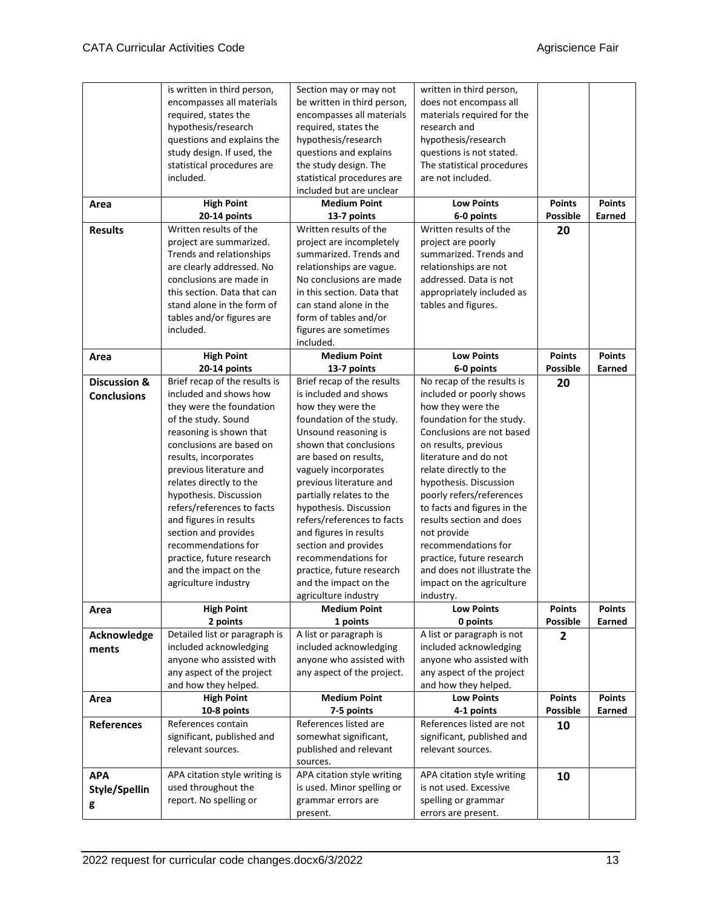|                         | is written in third person,   | Section may or may not      | written in third person,                   |                 |               |
|-------------------------|-------------------------------|-----------------------------|--------------------------------------------|-----------------|---------------|
|                         | encompasses all materials     | be written in third person, | does not encompass all                     |                 |               |
|                         | required, states the          | encompasses all materials   | materials required for the                 |                 |               |
|                         | hypothesis/research           | required, states the        | research and                               |                 |               |
|                         | questions and explains the    | hypothesis/research         | hypothesis/research                        |                 |               |
|                         | study design. If used, the    | questions and explains      | questions is not stated.                   |                 |               |
|                         |                               |                             |                                            |                 |               |
|                         | statistical procedures are    | the study design. The       | The statistical procedures                 |                 |               |
|                         | included.                     | statistical procedures are  | are not included.                          |                 |               |
|                         |                               | included but are unclear    |                                            |                 |               |
| Area                    | <b>High Point</b>             | <b>Medium Point</b>         | <b>Low Points</b>                          | <b>Points</b>   | <b>Points</b> |
|                         | 20-14 points                  | 13-7 points                 | 6-0 points                                 | <b>Possible</b> | Earned        |
| <b>Results</b>          | Written results of the        | Written results of the      | Written results of the                     | 20              |               |
|                         |                               |                             |                                            |                 |               |
|                         | project are summarized.       | project are incompletely    | project are poorly                         |                 |               |
|                         | Trends and relationships      | summarized. Trends and      | summarized. Trends and                     |                 |               |
|                         | are clearly addressed. No     | relationships are vague.    | relationships are not                      |                 |               |
|                         | conclusions are made in       | No conclusions are made     | addressed. Data is not                     |                 |               |
|                         | this section. Data that can   | in this section. Data that  | appropriately included as                  |                 |               |
|                         | stand alone in the form of    | can stand alone in the      | tables and figures.                        |                 |               |
|                         | tables and/or figures are     | form of tables and/or       |                                            |                 |               |
|                         | included.                     | figures are sometimes       |                                            |                 |               |
|                         |                               |                             |                                            |                 |               |
|                         |                               | included.                   |                                            |                 |               |
| Area                    | <b>High Point</b>             | <b>Medium Point</b>         | <b>Low Points</b>                          | <b>Points</b>   | <b>Points</b> |
|                         | 20-14 points                  | 13-7 points                 | 6-0 points                                 | <b>Possible</b> | Earned        |
| <b>Discussion &amp;</b> | Brief recap of the results is | Brief recap of the results  | No recap of the results is                 | 20              |               |
| <b>Conclusions</b>      | included and shows how        | is included and shows       | included or poorly shows                   |                 |               |
|                         | they were the foundation      | how they were the           | how they were the                          |                 |               |
|                         | of the study. Sound           | foundation of the study.    | foundation for the study.                  |                 |               |
|                         | reasoning is shown that       | Unsound reasoning is        | Conclusions are not based                  |                 |               |
|                         | conclusions are based on      | shown that conclusions      | on results, previous                       |                 |               |
|                         |                               |                             | literature and do not                      |                 |               |
|                         |                               |                             |                                            |                 |               |
|                         | results, incorporates         | are based on results,       |                                            |                 |               |
|                         | previous literature and       | vaguely incorporates        | relate directly to the                     |                 |               |
|                         | relates directly to the       | previous literature and     | hypothesis. Discussion                     |                 |               |
|                         | hypothesis. Discussion        | partially relates to the    | poorly refers/references                   |                 |               |
|                         | refers/references to facts    | hypothesis. Discussion      | to facts and figures in the                |                 |               |
|                         |                               |                             |                                            |                 |               |
|                         | and figures in results        | refers/references to facts  | results section and does                   |                 |               |
|                         | section and provides          | and figures in results      | not provide                                |                 |               |
|                         | recommendations for           | section and provides        | recommendations for                        |                 |               |
|                         | practice, future research     | recommendations for         | practice, future research                  |                 |               |
|                         | and the impact on the         | practice, future research   | and does not illustrate the                |                 |               |
|                         | agriculture industry          | and the impact on the       | impact on the agriculture                  |                 |               |
|                         |                               | agriculture industry        | industry.                                  |                 |               |
| Area                    | <b>High Point</b>             | <b>Medium Point</b>         | <b>Low Points</b>                          | <b>Points</b>   | <b>Points</b> |
|                         | 2 points                      | 1 points                    | 0 points                                   | <b>Possible</b> | Earned        |
|                         |                               |                             |                                            |                 |               |
| Acknowledge             | Detailed list or paragraph is | A list or paragraph is      | A list or paragraph is not                 | $\overline{2}$  |               |
| ments                   | included acknowledging        | included acknowledging      | included acknowledging                     |                 |               |
|                         | anyone who assisted with      | anyone who assisted with    | anyone who assisted with                   |                 |               |
|                         | any aspect of the project     | any aspect of the project.  | any aspect of the project                  |                 |               |
|                         | and how they helped.          |                             | and how they helped.                       |                 |               |
| Area                    | <b>High Point</b>             | <b>Medium Point</b>         | <b>Low Points</b>                          | <b>Points</b>   | <b>Points</b> |
|                         | 10-8 points                   | 7-5 points                  | 4-1 points                                 | <b>Possible</b> | Earned        |
| <b>References</b>       | References contain            | References listed are       | References listed are not                  |                 |               |
|                         |                               | somewhat significant,       | significant, published and                 | 10              |               |
|                         | significant, published and    |                             |                                            |                 |               |
|                         | relevant sources.             | published and relevant      | relevant sources.                          |                 |               |
|                         |                               | sources.                    |                                            |                 |               |
| <b>APA</b>              | APA citation style writing is | APA citation style writing  | APA citation style writing                 | 10              |               |
| Style/Spellin           | used throughout the           | is used. Minor spelling or  | is not used. Excessive                     |                 |               |
| g                       | report. No spelling or        | grammar errors are          | spelling or grammar<br>errors are present. |                 |               |